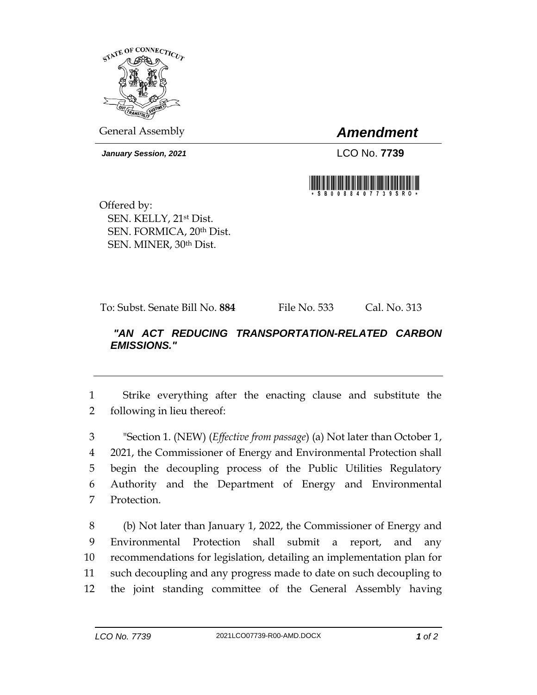

General Assembly *Amendment*

*January Session, 2021* LCO No. **7739**



Offered by: SEN. KELLY, 21st Dist. SEN. FORMICA, 20<sup>th</sup> Dist. SEN. MINER, 30th Dist.

To: Subst. Senate Bill No. **884** File No. 533 Cal. No. 313

## *"AN ACT REDUCING TRANSPORTATION-RELATED CARBON EMISSIONS."*

1 Strike everything after the enacting clause and substitute the 2 following in lieu thereof:

 "Section 1. (NEW) (*Effective from passage*) (a) Not later than October 1, 2021, the Commissioner of Energy and Environmental Protection shall begin the decoupling process of the Public Utilities Regulatory Authority and the Department of Energy and Environmental Protection.

 (b) Not later than January 1, 2022, the Commissioner of Energy and Environmental Protection shall submit a report, and any recommendations for legislation, detailing an implementation plan for such decoupling and any progress made to date on such decoupling to the joint standing committee of the General Assembly having